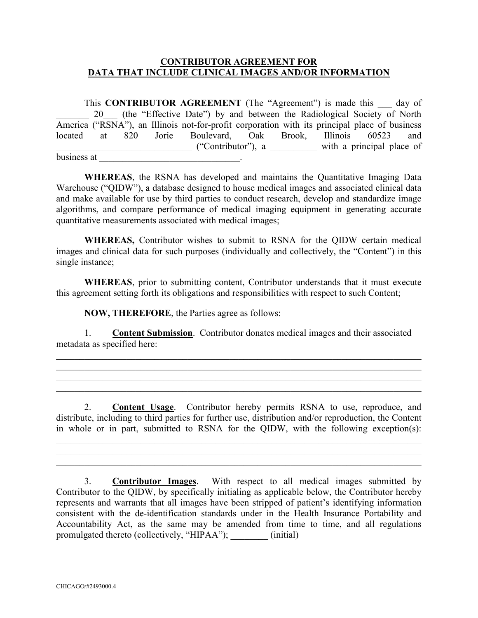## **CONTRIBUTOR AGREEMENT FOR DATA THAT INCLUDE CLINICAL IMAGES AND/OR INFORMATION**

This **CONTRIBUTOR AGREEMENT** (The "Agreement") is made this day of 20 (the "Effective Date") by and between the Radiological Society of North America ("RSNA"), an Illinois not-for-profit corporation with its principal place of business located at 820 Jorie Boulevard, Oak Brook, Illinois 60523 and \_\_\_\_\_\_\_\_\_\_\_\_\_\_\_\_\_\_\_\_\_\_\_\_\_\_\_\_\_ ("Contributor"), a \_\_\_\_\_\_\_\_\_\_ with a principal place of business at \_\_\_\_\_\_\_\_\_\_\_\_\_\_\_\_\_\_\_\_\_\_\_\_\_\_\_\_\_\_\_\_\_.

**WHEREAS**, the RSNA has developed and maintains the Quantitative Imaging Data Warehouse ("QIDW"), a database designed to house medical images and associated clinical data and make available for use by third parties to conduct research, develop and standardize image algorithms, and compare performance of medical imaging equipment in generating accurate quantitative measurements associated with medical images;

**WHEREAS,** Contributor wishes to submit to RSNA for the QIDW certain medical images and clinical data for such purposes (individually and collectively, the "Content") in this single instance;

**WHEREAS**, prior to submitting content, Contributor understands that it must execute this agreement setting forth its obligations and responsibilities with respect to such Content;

**NOW, THEREFORE**, the Parties agree as follows:

1. **Content Submission**. Contributor donates medical images and their associated metadata as specified here:

\_\_\_\_\_\_\_\_\_\_\_\_\_\_\_\_\_\_\_\_\_\_\_\_\_\_\_\_\_\_\_\_\_\_\_\_\_\_\_\_\_\_\_\_\_\_\_\_\_\_\_\_\_\_\_\_\_\_\_\_\_\_\_\_\_\_\_\_\_\_\_\_\_\_\_\_\_\_ \_\_\_\_\_\_\_\_\_\_\_\_\_\_\_\_\_\_\_\_\_\_\_\_\_\_\_\_\_\_\_\_\_\_\_\_\_\_\_\_\_\_\_\_\_\_\_\_\_\_\_\_\_\_\_\_\_\_\_\_\_\_\_\_\_\_\_\_\_\_\_\_\_\_\_\_\_\_

 $\mathcal{L}_\text{max} = \mathcal{L}_\text{max} = \mathcal{L}_\text{max} = \mathcal{L}_\text{max} = \mathcal{L}_\text{max} = \mathcal{L}_\text{max} = \mathcal{L}_\text{max} = \mathcal{L}_\text{max} = \mathcal{L}_\text{max} = \mathcal{L}_\text{max} = \mathcal{L}_\text{max} = \mathcal{L}_\text{max} = \mathcal{L}_\text{max} = \mathcal{L}_\text{max} = \mathcal{L}_\text{max} = \mathcal{L}_\text{max} = \mathcal{L}_\text{max} = \mathcal{L}_\text{max} = \mathcal{$ 

2. **Content Usage**. Contributor hereby permits RSNA to use, reproduce, and distribute, including to third parties for further use, distribution and/or reproduction, the Content in whole or in part, submitted to RSNA for the QIDW, with the following exception(s):

\_\_\_\_\_\_\_\_\_\_\_\_\_\_\_\_\_\_\_\_\_\_\_\_\_\_\_\_\_\_\_\_\_\_\_\_\_\_\_\_\_\_\_\_\_\_\_\_\_\_\_\_\_\_\_\_\_\_\_\_\_\_\_\_\_\_\_\_\_\_\_\_\_\_\_\_\_\_ \_\_\_\_\_\_\_\_\_\_\_\_\_\_\_\_\_\_\_\_\_\_\_\_\_\_\_\_\_\_\_\_\_\_\_\_\_\_\_\_\_\_\_\_\_\_\_\_\_\_\_\_\_\_\_\_\_\_\_\_\_\_\_\_\_\_\_\_\_\_\_\_\_\_\_\_\_\_  $\_$  , and the contribution of the contribution of  $\mathcal{L}_1$  , and  $\mathcal{L}_2$  , and  $\mathcal{L}_3$  , and  $\mathcal{L}_4$  , and  $\mathcal{L}_5$ 

 $\_$  , and the contribution of the contribution of  $\mathcal{L}_1$  , and  $\mathcal{L}_2$  , and  $\mathcal{L}_3$  , and  $\mathcal{L}_4$  , and  $\mathcal{L}_5$ 

3. **Contributor Images**. With respect to all medical images submitted by Contributor to the QIDW, by specifically initialing as applicable below, the Contributor hereby represents and warrants that all images have been stripped of patient's identifying information consistent with the de-identification standards under in the Health Insurance Portability and Accountability Act, as the same may be amended from time to time, and all regulations promulgated thereto (collectively, "HIPAA");  $\qquad \qquad$  (initial)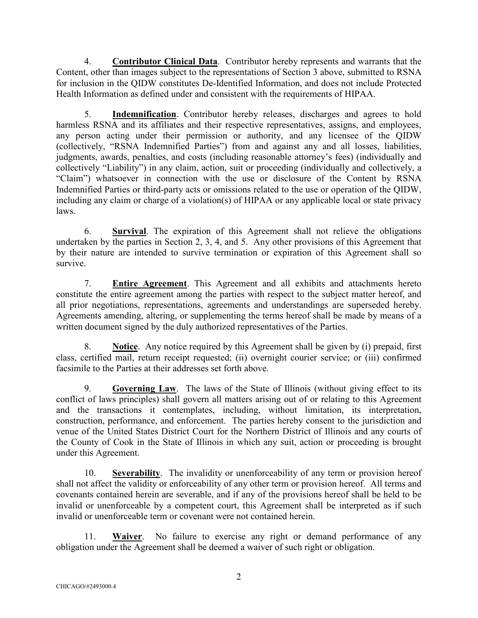4. **Contributor Clinical Data**. Contributor hereby represents and warrants that the Content, other than images subject to the representations of Section 3 above, submitted to RSNA for inclusion in the QIDW constitutes De-Identified Information, and does not include Protected Health Information as defined under and consistent with the requirements of HIPAA.

5. **Indemnification**. Contributor hereby releases, discharges and agrees to hold harmless RSNA and its affiliates and their respective representatives, assigns, and employees, any person acting under their permission or authority, and any licensee of the QIDW (collectively, "RSNA Indemnified Parties") from and against any and all losses, liabilities, judgments, awards, penalties, and costs (including reasonable attorney's fees) (individually and collectively "Liability") in any claim, action, suit or proceeding (individually and collectively, a "Claim") whatsoever in connection with the use or disclosure of the Content by RSNA Indemnified Parties or third-party acts or omissions related to the use or operation of the QIDW, including any claim or charge of a violation(s) of HIPAA or any applicable local or state privacy laws.

6. **Survival**. The expiration of this Agreement shall not relieve the obligations undertaken by the parties in Section 2, 3, 4, and 5. Any other provisions of this Agreement that by their nature are intended to survive termination or expiration of this Agreement shall so survive.

7. **Entire Agreement**. This Agreement and all exhibits and attachments hereto constitute the entire agreement among the parties with respect to the subject matter hereof, and all prior negotiations, representations, agreements and understandings are superseded hereby. Agreements amending, altering, or supplementing the terms hereof shall be made by means of a written document signed by the duly authorized representatives of the Parties.

8. **Notice**. Any notice required by this Agreement shall be given by (i) prepaid, first class, certified mail, return receipt requested; (ii) overnight courier service; or (iii) confirmed facsimile to the Parties at their addresses set forth above.

9. **Governing Law**. The laws of the State of Illinois (without giving effect to its conflict of laws principles) shall govern all matters arising out of or relating to this Agreement and the transactions it contemplates, including, without limitation, its interpretation, construction, performance, and enforcement. The parties hereby consent to the jurisdiction and venue of the United States District Court for the Northern District of Illinois and any courts of the County of Cook in the State of Illinois in which any suit, action or proceeding is brought under this Agreement.

10. **Severability**. The invalidity or unenforceability of any term or provision hereof shall not affect the validity or enforceability of any other term or provision hereof. All terms and covenants contained herein are severable, and if any of the provisions hereof shall be held to be invalid or unenforceable by a competent court, this Agreement shall be interpreted as if such invalid or unenforceable term or covenant were not contained herein.

11. **Waiver**. No failure to exercise any right or demand performance of any obligation under the Agreement shall be deemed a waiver of such right or obligation.